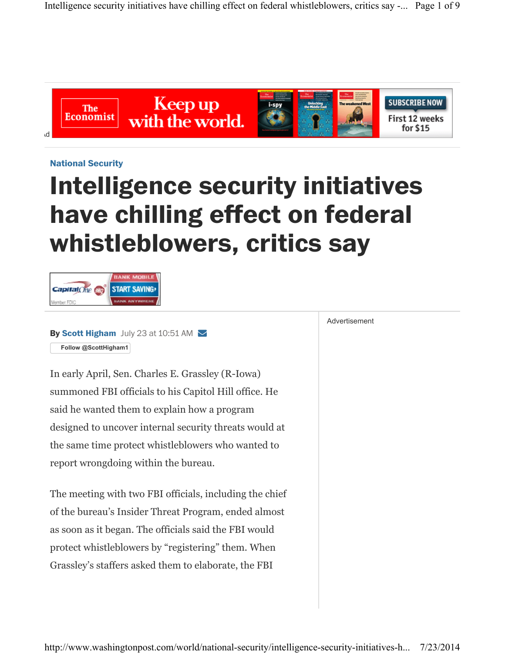Intelligence security initiatives have chilling effect on federal whistleblowers, critics say -... Page 1 of 9



**National Security**

## **Intelligence security initiatives have chilling effect on federal whistleblowers, critics say**



**By Scott Higham** July 23 at 10:51 AM  $\blacktriangledown$ **Follow @ScottHigham1**

In early April, Sen. Charles E. Grassley (R-Iowa) summoned FBI officials to his Capitol Hill office. He said he wanted them to explain how a program designed to uncover internal security threats would at the same time protect whistleblowers who wanted to report wrongdoing within the bureau.

The meeting with two FBI officials, including the chief of the bureau's Insider Threat Program, ended almost as soon as it began. The officials said the FBI would protect whistleblowers by "registering" them. When Grassley's staffers asked them to elaborate, the FBI

Advertisement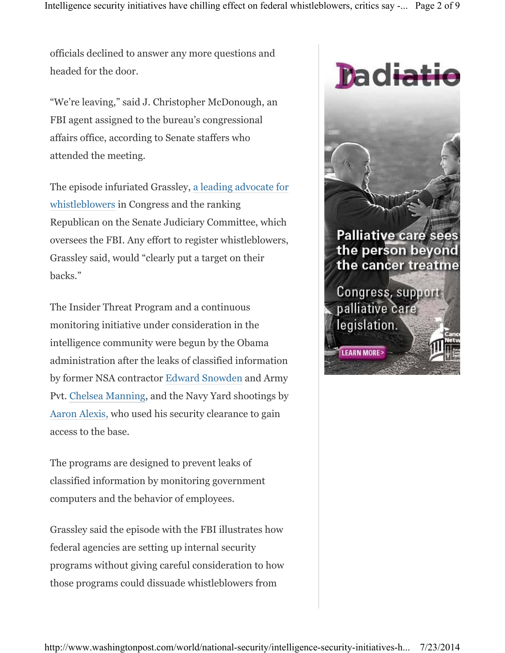officials declined to answer any more questions and headed for the door.

"We're leaving," said J. Christopher McDonough, an FBI agent assigned to the bureau's congressional affairs office, according to Senate staffers who attended the meeting.

The episode infuriated Grassley, a leading advocate for whistleblowers in Congress and the ranking Republican on the Senate Judiciary Committee, which oversees the FBI. Any effort to register whistleblowers, Grassley said, would "clearly put a target on their backs."

The Insider Threat Program and a continuous monitoring initiative under consideration in the intelligence community were begun by the Obama administration after the leaks of classified information by former NSA contractor Edward Snowden and Army Pvt. Chelsea Manning, and the Navy Yard shootings by Aaron Alexis, who used his security clearance to gain access to the base.

The programs are designed to prevent leaks of classified information by monitoring government computers and the behavior of employees.

Grassley said the episode with the FBI illustrates how federal agencies are setting up internal security programs without giving careful consideration to how those programs could dissuade whistleblowers from

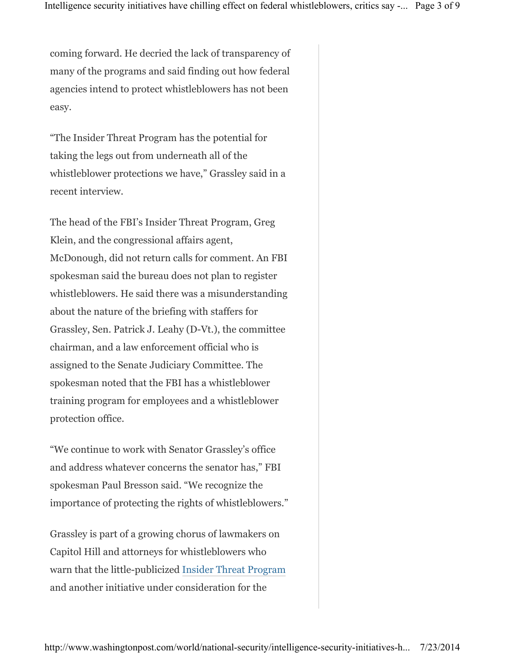coming forward. He decried the lack of transparency of many of the programs and said finding out how federal agencies intend to protect whistleblowers has not been easy.

"The Insider Threat Program has the potential for taking the legs out from underneath all of the whistleblower protections we have," Grassley said in a recent interview.

The head of the FBI's Insider Threat Program, Greg Klein, and the congressional affairs agent, McDonough, did not return calls for comment. An FBI spokesman said the bureau does not plan to register whistleblowers. He said there was a misunderstanding about the nature of the briefing with staffers for Grassley, Sen. Patrick J. Leahy (D-Vt.), the committee chairman, and a law enforcement official who is assigned to the Senate Judiciary Committee. The spokesman noted that the FBI has a whistleblower training program for employees and a whistleblower protection office.

"We continue to work with Senator Grassley's office and address whatever concerns the senator has," FBI spokesman Paul Bresson said. "We recognize the importance of protecting the rights of whistleblowers."

Grassley is part of a growing chorus of lawmakers on Capitol Hill and attorneys for whistleblowers who warn that the little-publicized Insider Threat Program and another initiative under consideration for the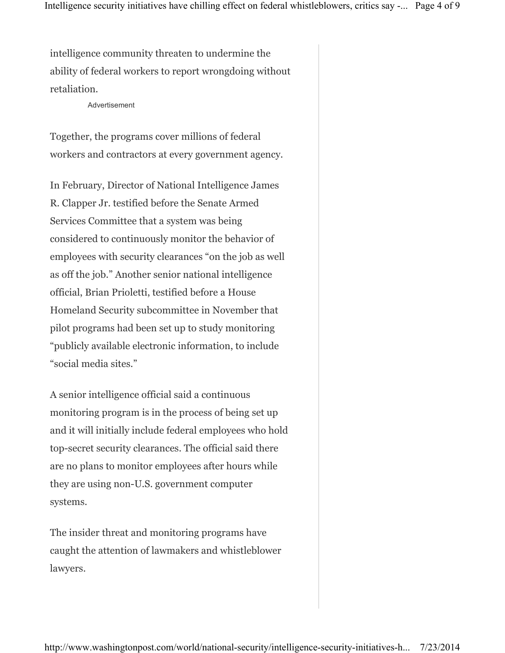intelligence community threaten to undermine the ability of federal workers to report wrongdoing without retaliation.

## Advertisement

Together, the programs cover millions of federal workers and contractors at every government agency.

In February, Director of National Intelligence James R. Clapper Jr. testified before the Senate Armed Services Committee that a system was being considered to continuously monitor the behavior of employees with security clearances "on the job as well as off the job." Another senior national intelligence official, Brian Prioletti, testified before a House Homeland Security subcommittee in November that pilot programs had been set up to study monitoring "publicly available electronic information, to include "social media sites."

A senior intelligence official said a continuous monitoring program is in the process of being set up and it will initially include federal employees who hold top-secret security clearances. The official said there are no plans to monitor employees after hours while they are using non-U.S. government computer systems.

The insider threat and monitoring programs have caught the attention of lawmakers and whistleblower lawyers.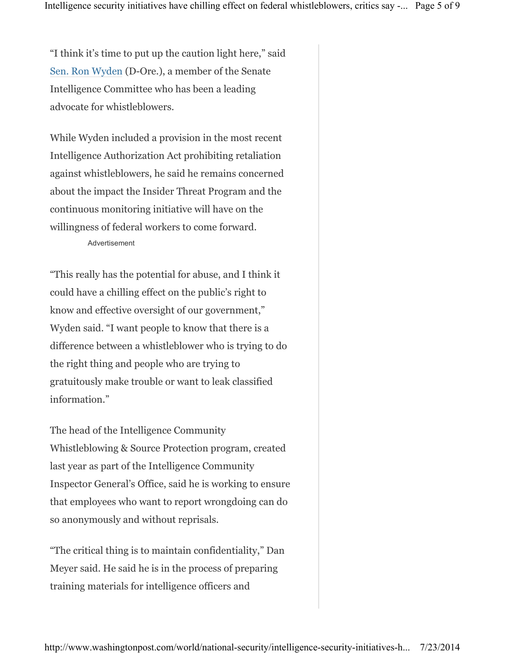"I think it's time to put up the caution light here," said Sen. Ron Wyden (D-Ore.), a member of the Senate Intelligence Committee who has been a leading advocate for whistleblowers.

While Wyden included a provision in the most recent Intelligence Authorization Act prohibiting retaliation against whistleblowers, he said he remains concerned about the impact the Insider Threat Program and the continuous monitoring initiative will have on the willingness of federal workers to come forward. Advertisement

"This really has the potential for abuse, and I think it could have a chilling effect on the public's right to know and effective oversight of our government," Wyden said. "I want people to know that there is a difference between a whistleblower who is trying to do the right thing and people who are trying to gratuitously make trouble or want to leak classified information."

The head of the Intelligence Community Whistleblowing & Source Protection program, created last year as part of the Intelligence Community Inspector General's Office, said he is working to ensure that employees who want to report wrongdoing can do so anonymously and without reprisals.

"The critical thing is to maintain confidentiality," Dan Meyer said. He said he is in the process of preparing training materials for intelligence officers and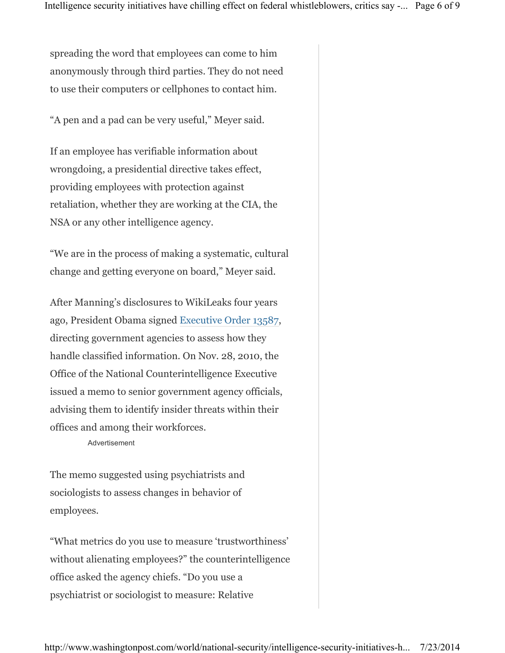spreading the word that employees can come to him anonymously through third parties. They do not need to use their computers or cellphones to contact him.

"A pen and a pad can be very useful," Meyer said.

If an employee has verifiable information about wrongdoing, a presidential directive takes effect, providing employees with protection against retaliation, whether they are working at the CIA, the NSA or any other intelligence agency.

"We are in the process of making a systematic, cultural change and getting everyone on board," Meyer said.

After Manning's disclosures to WikiLeaks four years ago, President Obama signed Executive Order 13587, directing government agencies to assess how they handle classified information. On Nov. 28, 2010, the Office of the National Counterintelligence Executive issued a memo to senior government agency officials, advising them to identify insider threats within their offices and among their workforces.

Advertisement

The memo suggested using psychiatrists and sociologists to assess changes in behavior of employees.

"What metrics do you use to measure 'trustworthiness' without alienating employees?" the counterintelligence office asked the agency chiefs. "Do you use a psychiatrist or sociologist to measure: Relative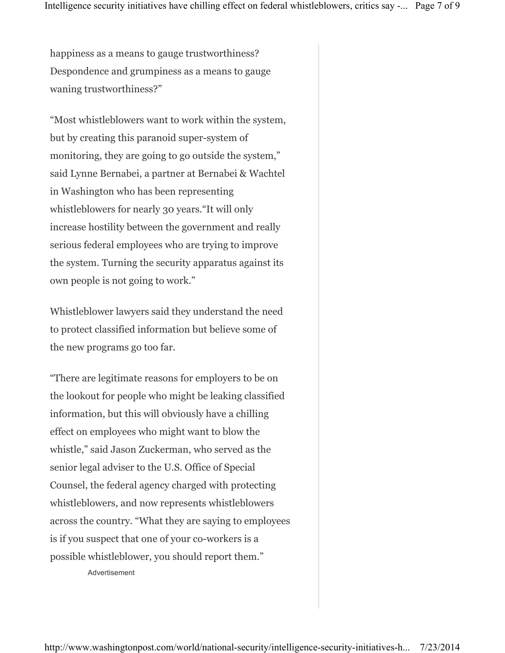happiness as a means to gauge trustworthiness? Despondence and grumpiness as a means to gauge waning trustworthiness?"

"Most whistleblowers want to work within the system, but by creating this paranoid super-system of monitoring, they are going to go outside the system," said Lynne Bernabei, a partner at Bernabei & Wachtel in Washington who has been representing whistleblowers for nearly 30 years."It will only increase hostility between the government and really serious federal employees who are trying to improve the system. Turning the security apparatus against its own people is not going to work."

Whistleblower lawyers said they understand the need to protect classified information but believe some of the new programs go too far.

"There are legitimate reasons for employers to be on the lookout for people who might be leaking classified information, but this will obviously have a chilling effect on employees who might want to blow the whistle," said Jason Zuckerman, who served as the senior legal adviser to the U.S. Office of Special Counsel, the federal agency charged with protecting whistleblowers, and now represents whistleblowers across the country. "What they are saying to employees is if you suspect that one of your co-workers is a possible whistleblower, you should report them."

Advertisement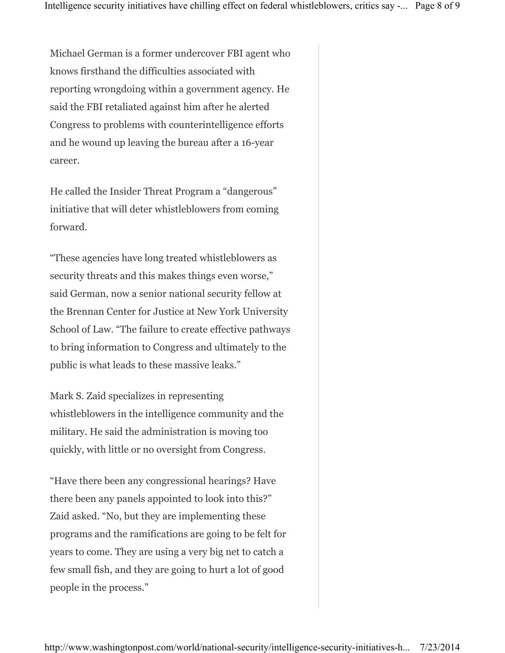Michael German is a former undercover FBI agent who knows firsthand the difficulties associated with reporting wrongdoing within a government agency. He said the FBI retaliated against him after he alerted Congress to problems with counterintelligence efforts and he wound up leaving the bureau after a 16-year career.

He called the Insider Threat Program a "dangerous" initiative that will deter whistleblowers from coming forward.

"These agencies have long treated whistleblowers as security threats and this makes things even worse," said German, now a senior national security fellow at the Brennan Center for Justice at New York University School of Law. "The failure to create effective pathways to bring information to Congress and ultimately to the public is what leads to these massive leaks."

Mark S. Zaid specializes in representing whistleblowers in the intelligence community and the military. He said the administration is moving too quickly, with little or no oversight from Congress.

"Have there been any congressional hearings? Have there been any panels appointed to look into this?" Zaid asked. "No, but they are implementing these programs and the ramifications are going to be felt for years to come. They are using a very big net to catch a few small fish, and they are going to hurt a lot of good people in the process."